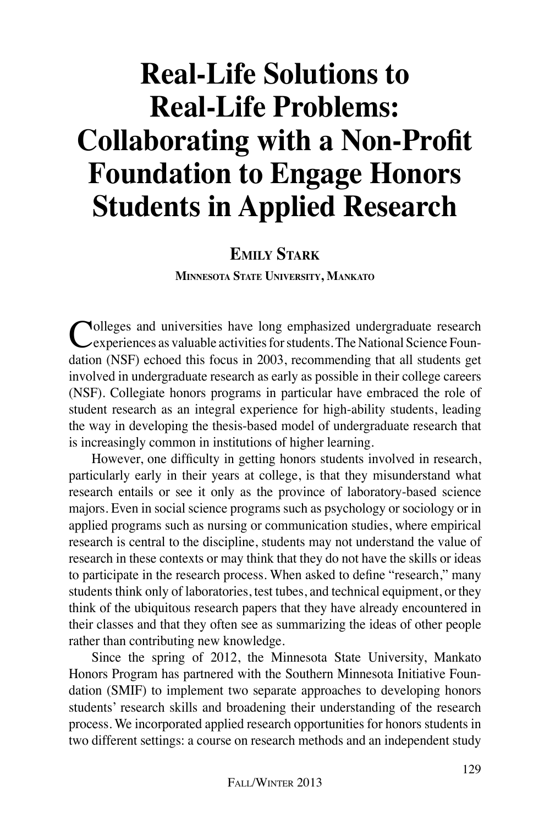# **Real-Life Solutions to Real-Life Problems: Collaborating with a Non-Profit Foundation to Engage Honors Students in Applied Research**

## **Emily Stark**

**Minnesota State University, Mankato**

Colleges and universities have long emphasized undergraduate research experiences as valuable activities for students. The National Science Foundation (NSF) echoed this focus in 2003, recommending that all students get involved in undergraduate research as early as possible in their college careers (NSF). Collegiate honors programs in particular have embraced the role of student research as an integral experience for high-ability students, leading the way in developing the thesis-based model of undergraduate research that is increasingly common in institutions of higher learning.

However, one difficulty in getting honors students involved in research, particularly early in their years at college, is that they misunderstand what research entails or see it only as the province of laboratory-based science majors. Even in social science programs such as psychology or sociology or in applied programs such as nursing or communication studies, where empirical research is central to the discipline, students may not understand the value of research in these contexts or may think that they do not have the skills or ideas to participate in the research process. When asked to define "research," many students think only of laboratories, test tubes, and technical equipment, or they think of the ubiquitous research papers that they have already encountered in their classes and that they often see as summarizing the ideas of other people rather than contributing new knowledge.

Since the spring of 2012, the Minnesota State University, Mankato Honors Program has partnered with the Southern Minnesota Initiative Foundation (SMIF) to implement two separate approaches to developing honors students' research skills and broadening their understanding of the research process. We incorporated applied research opportunities for honors students in two different settings: a course on research methods and an independent study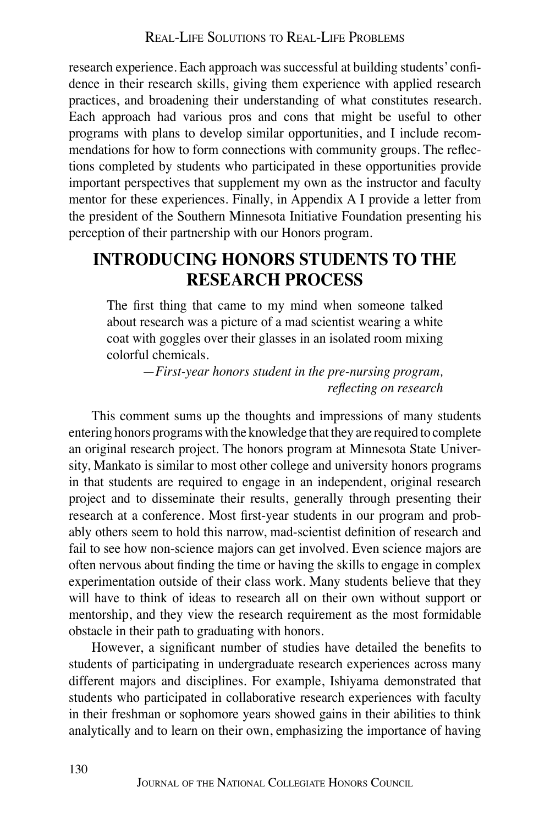research experience. Each approach was successful at building students' confidence in their research skills, giving them experience with applied research practices, and broadening their understanding of what constitutes research. Each approach had various pros and cons that might be useful to other programs with plans to develop similar opportunities, and I include recommendations for how to form connections with community groups. The reflections completed by students who participated in these opportunities provide important perspectives that supplement my own as the instructor and faculty mentor for these experiences. Finally, in Appendix A I provide a letter from the president of the Southern Minnesota Initiative Foundation presenting his perception of their partnership with our Honors program.

# **Introducing Honors Students to the Research Process**

The first thing that came to my mind when someone talked about research was a picture of a mad scientist wearing a white coat with goggles over their glasses in an isolated room mixing colorful chemicals.

> —*First-year honors student in the pre-nursing program, reflecting on research*

This comment sums up the thoughts and impressions of many students entering honors programs with the knowledge that they are required to complete an original research project. The honors program at Minnesota State University, Mankato is similar to most other college and university honors programs in that students are required to engage in an independent, original research project and to disseminate their results, generally through presenting their research at a conference. Most first-year students in our program and probably others seem to hold this narrow, mad-scientist definition of research and fail to see how non-science majors can get involved. Even science majors are often nervous about finding the time or having the skills to engage in complex experimentation outside of their class work. Many students believe that they will have to think of ideas to research all on their own without support or mentorship, and they view the research requirement as the most formidable obstacle in their path to graduating with honors.

However, a significant number of studies have detailed the benefits to students of participating in undergraduate research experiences across many different majors and disciplines. For example, Ishiyama demonstrated that students who participated in collaborative research experiences with faculty in their freshman or sophomore years showed gains in their abilities to think analytically and to learn on their own, emphasizing the importance of having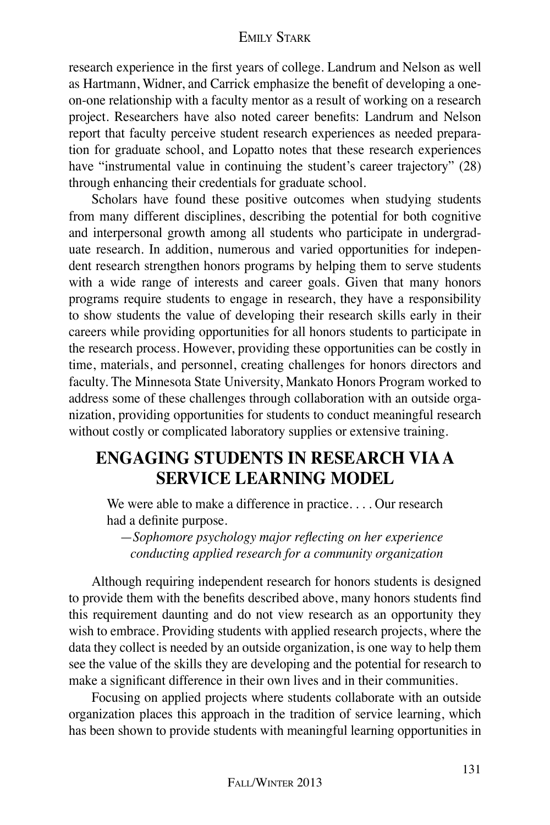research experience in the first years of college. Landrum and Nelson as well as Hartmann, Widner, and Carrick emphasize the benefit of developing a oneon-one relationship with a faculty mentor as a result of working on a research project. Researchers have also noted career benefits: Landrum and Nelson report that faculty perceive student research experiences as needed preparation for graduate school, and Lopatto notes that these research experiences have "instrumental value in continuing the student's career trajectory" (28) through enhancing their credentials for graduate school.

Scholars have found these positive outcomes when studying students from many different disciplines, describing the potential for both cognitive and interpersonal growth among all students who participate in undergraduate research. In addition, numerous and varied opportunities for independent research strengthen honors programs by helping them to serve students with a wide range of interests and career goals. Given that many honors programs require students to engage in research, they have a responsibility to show students the value of developing their research skills early in their careers while providing opportunities for all honors students to participate in the research process. However, providing these opportunities can be costly in time, materials, and personnel, creating challenges for honors directors and faculty. The Minnesota State University, Mankato Honors Program worked to address some of these challenges through collaboration with an outside organization, providing opportunities for students to conduct meaningful research without costly or complicated laboratory supplies or extensive training.

## **Engaging Students in Research viaa Service Learning Model**

We were able to make a difference in practice. . . . Our research had a definite purpose.

—*Sophomore psychology major reflecting on her experience conducting applied research for a community organization*

Although requiring independent research for honors students is designed to provide them with the benefits described above, many honors students find this requirement daunting and do not view research as an opportunity they wish to embrace. Providing students with applied research projects, where the data they collect is needed by an outside organization, is one way to help them see the value of the skills they are developing and the potential for research to make a significant difference in their own lives and in their communities.

Focusing on applied projects where students collaborate with an outside organization places this approach in the tradition of service learning, which has been shown to provide students with meaningful learning opportunities in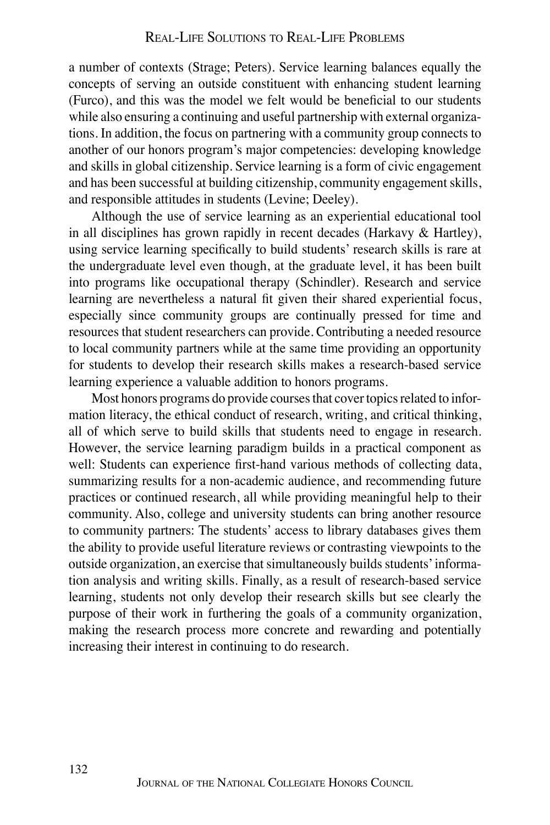a number of contexts (Strage; Peters). Service learning balances equally the concepts of serving an outside constituent with enhancing student learning (Furco), and this was the model we felt would be beneficial to our students while also ensuring a continuing and useful partnership with external organizations. In addition, the focus on partnering with a community group connects to another of our honors program's major competencies: developing knowledge and skills in global citizenship. Service learning is a form of civic engagement and has been successful at building citizenship, community engagement skills, and responsible attitudes in students (Levine; Deeley).

Although the use of service learning as an experiential educational tool in all disciplines has grown rapidly in recent decades (Harkavy & Hartley), using service learning specifically to build students' research skills is rare at the undergraduate level even though, at the graduate level, it has been built into programs like occupational therapy (Schindler). Research and service learning are nevertheless a natural fit given their shared experiential focus, especially since community groups are continually pressed for time and resources that student researchers can provide. Contributing a needed resource to local community partners while at the same time providing an opportunity for students to develop their research skills makes a research-based service learning experience a valuable addition to honors programs.

Most honors programs do provide courses that cover topics related to information literacy, the ethical conduct of research, writing, and critical thinking, all of which serve to build skills that students need to engage in research. However, the service learning paradigm builds in a practical component as well: Students can experience first-hand various methods of collecting data, summarizing results for a non-academic audience, and recommending future practices or continued research, all while providing meaningful help to their community. Also, college and university students can bring another resource to community partners: The students' access to library databases gives them the ability to provide useful literature reviews or contrasting viewpoints to the outside organization, an exercise that simultaneously builds students' information analysis and writing skills. Finally, as a result of research-based service learning, students not only develop their research skills but see clearly the purpose of their work in furthering the goals of a community organization, making the research process more concrete and rewarding and potentially increasing their interest in continuing to do research.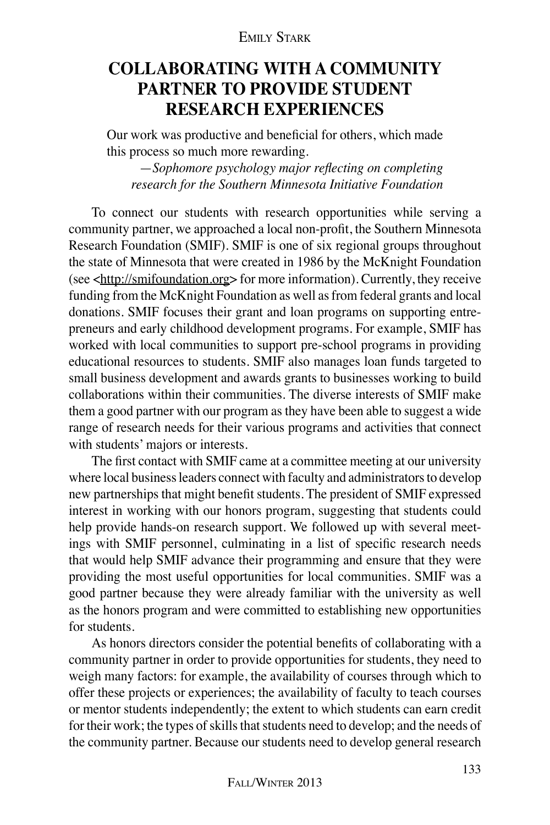# **Collaborating with a Community Partner to Provide Student Research Experiences**

Our work was productive and beneficial for others, which made this process so much more rewarding.

—*Sophomore psychology major reflecting on completing research for the Southern Minnesota Initiative Foundation*

To connect our students with research opportunities while serving a community partner, we approached a local non-profit, the Southern Minnesota Research Foundation (SMIF). SMIF is one of six regional groups throughout the state of Minnesota that were created in 1986 by the McKnight Foundation (see <http://smifoundation.org> for more information). Currently, they receive funding from the McKnight Foundation as well as from federal grants and local donations. SMIF focuses their grant and loan programs on supporting entrepreneurs and early childhood development programs. For example, SMIF has worked with local communities to support pre-school programs in providing educational resources to students. SMIF also manages loan funds targeted to small business development and awards grants to businesses working to build collaborations within their communities. The diverse interests of SMIF make them a good partner with our program as they have been able to suggest a wide range of research needs for their various programs and activities that connect with students' majors or interests.

The first contact with SMIF came at a committee meeting at our university where local business leaders connect with faculty and administrators to develop new partnerships that might benefit students. The president of SMIF expressed interest in working with our honors program, suggesting that students could help provide hands-on research support. We followed up with several meetings with SMIF personnel, culminating in a list of specific research needs that would help SMIF advance their programming and ensure that they were providing the most useful opportunities for local communities. SMIF was a good partner because they were already familiar with the university as well as the honors program and were committed to establishing new opportunities for students.

As honors directors consider the potential benefits of collaborating with a community partner in order to provide opportunities for students, they need to weigh many factors: for example, the availability of courses through which to offer these projects or experiences; the availability of faculty to teach courses or mentor students independently; the extent to which students can earn credit for their work; the types of skills that students need to develop; and the needs of the community partner. Because our students need to develop general research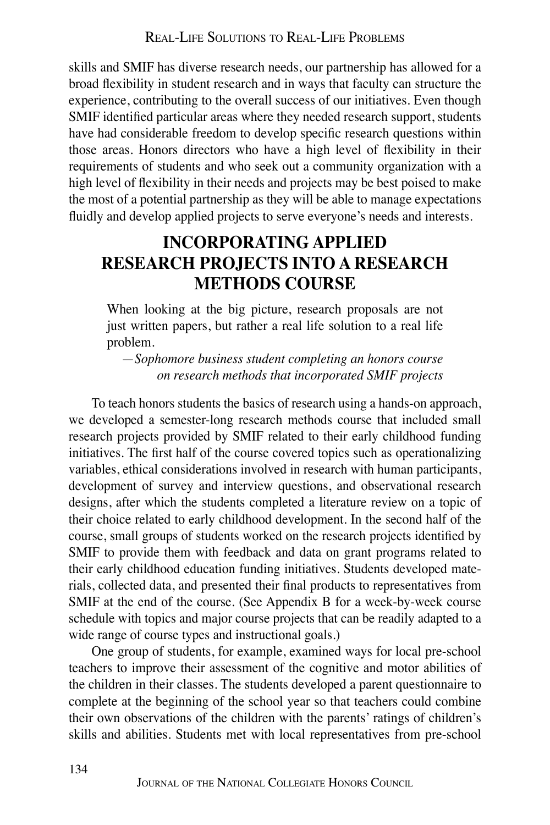skills and SMIF has diverse research needs, our partnership has allowed for a broad flexibility in student research and in ways that faculty can structure the experience, contributing to the overall success of our initiatives. Even though SMIF identified particular areas where they needed research support, students have had considerable freedom to develop specific research questions within those areas. Honors directors who have a high level of flexibility in their requirements of students and who seek out a community organization with a high level of flexibility in their needs and projects may be best poised to make the most of a potential partnership as they will be able to manage expectations fluidly and develop applied projects to serve everyone's needs and interests.

# **Incorporating Applied Research Projects into a Research Methods Course**

When looking at the big picture, research proposals are not just written papers, but rather a real life solution to a real life problem.

—*Sophomore business student completing an honors course on research methods that incorporated SMIF projects*

To teach honors students the basics of research using a hands-on approach, we developed a semester-long research methods course that included small research projects provided by SMIF related to their early childhood funding initiatives. The first half of the course covered topics such as operationalizing variables, ethical considerations involved in research with human participants, development of survey and interview questions, and observational research designs, after which the students completed a literature review on a topic of their choice related to early childhood development. In the second half of the course, small groups of students worked on the research projects identified by SMIF to provide them with feedback and data on grant programs related to their early childhood education funding initiatives. Students developed materials, collected data, and presented their final products to representatives from SMIF at the end of the course. (See Appendix B for a week-by-week course schedule with topics and major course projects that can be readily adapted to a wide range of course types and instructional goals.)

One group of students, for example, examined ways for local pre-school teachers to improve their assessment of the cognitive and motor abilities of the children in their classes. The students developed a parent questionnaire to complete at the beginning of the school year so that teachers could combine their own observations of the children with the parents' ratings of children's skills and abilities. Students met with local representatives from pre-school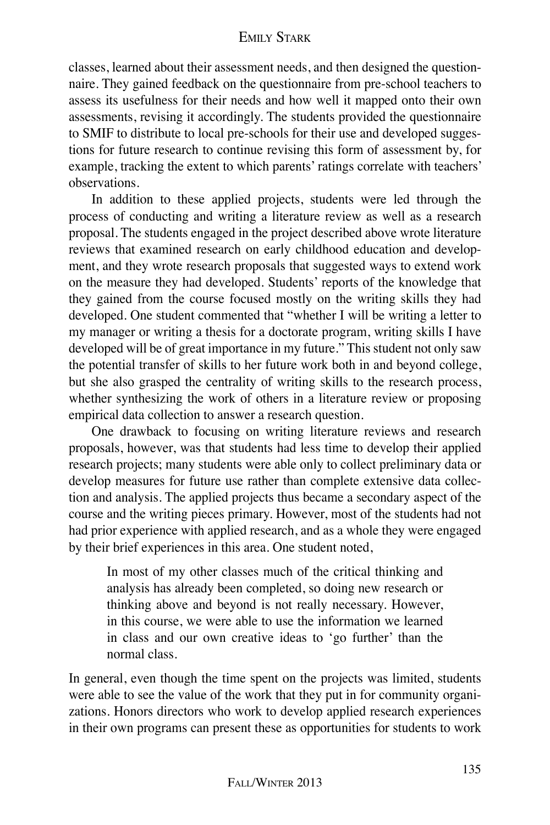classes, learned about their assessment needs, and then designed the questionnaire. They gained feedback on the questionnaire from pre-school teachers to assess its usefulness for their needs and how well it mapped onto their own assessments, revising it accordingly. The students provided the questionnaire to SMIF to distribute to local pre-schools for their use and developed suggestions for future research to continue revising this form of assessment by, for example, tracking the extent to which parents' ratings correlate with teachers' observations.

In addition to these applied projects, students were led through the process of conducting and writing a literature review as well as a research proposal. The students engaged in the project described above wrote literature reviews that examined research on early childhood education and development, and they wrote research proposals that suggested ways to extend work on the measure they had developed. Students' reports of the knowledge that they gained from the course focused mostly on the writing skills they had developed. One student commented that "whether I will be writing a letter to my manager or writing a thesis for a doctorate program, writing skills I have developed will be of great importance in my future." This student not only saw the potential transfer of skills to her future work both in and beyond college, but she also grasped the centrality of writing skills to the research process, whether synthesizing the work of others in a literature review or proposing empirical data collection to answer a research question.

One drawback to focusing on writing literature reviews and research proposals, however, was that students had less time to develop their applied research projects; many students were able only to collect preliminary data or develop measures for future use rather than complete extensive data collection and analysis. The applied projects thus became a secondary aspect of the course and the writing pieces primary. However, most of the students had not had prior experience with applied research, and as a whole they were engaged by their brief experiences in this area. One student noted,

In most of my other classes much of the critical thinking and analysis has already been completed, so doing new research or thinking above and beyond is not really necessary. However, in this course, we were able to use the information we learned in class and our own creative ideas to 'go further' than the normal class.

In general, even though the time spent on the projects was limited, students were able to see the value of the work that they put in for community organizations. Honors directors who work to develop applied research experiences in their own programs can present these as opportunities for students to work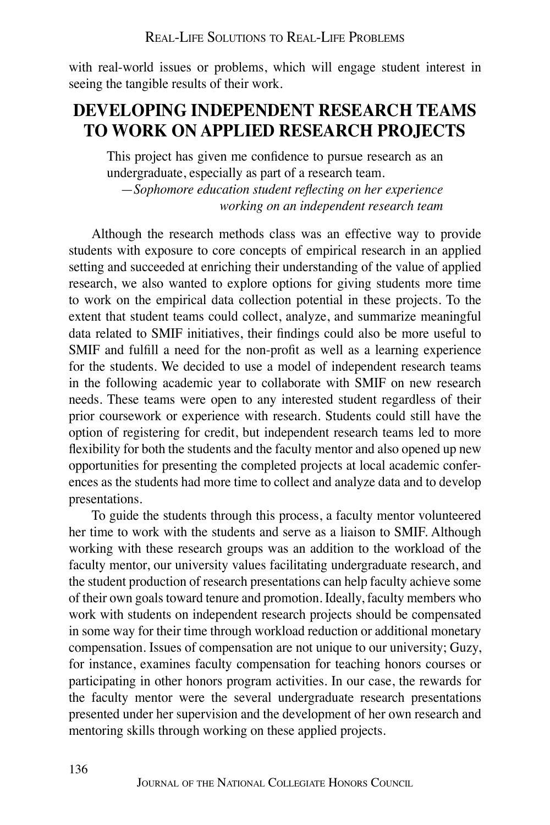with real-world issues or problems, which will engage student interest in seeing the tangible results of their work.

## **Developing Independent Research Teams to Work on Applied Research Projects**

This project has given me confidence to pursue research as an undergraduate, especially as part of a research team.

—*Sophomore education student reflecting on her experience working on an independent research team*

Although the research methods class was an effective way to provide students with exposure to core concepts of empirical research in an applied setting and succeeded at enriching their understanding of the value of applied research, we also wanted to explore options for giving students more time to work on the empirical data collection potential in these projects. To the extent that student teams could collect, analyze, and summarize meaningful data related to SMIF initiatives, their findings could also be more useful to SMIF and fulfill a need for the non-profit as well as a learning experience for the students. We decided to use a model of independent research teams in the following academic year to collaborate with SMIF on new research needs. These teams were open to any interested student regardless of their prior coursework or experience with research. Students could still have the option of registering for credit, but independent research teams led to more flexibility for both the students and the faculty mentor and also opened up new opportunities for presenting the completed projects at local academic conferences as the students had more time to collect and analyze data and to develop presentations.

To guide the students through this process, a faculty mentor volunteered her time to work with the students and serve as a liaison to SMIF. Although working with these research groups was an addition to the workload of the faculty mentor, our university values facilitating undergraduate research, and the student production of research presentations can help faculty achieve some of their own goals toward tenure and promotion. Ideally, faculty members who work with students on independent research projects should be compensated in some way for their time through workload reduction or additional monetary compensation. Issues of compensation are not unique to our university; Guzy, for instance, examines faculty compensation for teaching honors courses or participating in other honors program activities. In our case, the rewards for the faculty mentor were the several undergraduate research presentations presented under her supervision and the development of her own research and mentoring skills through working on these applied projects.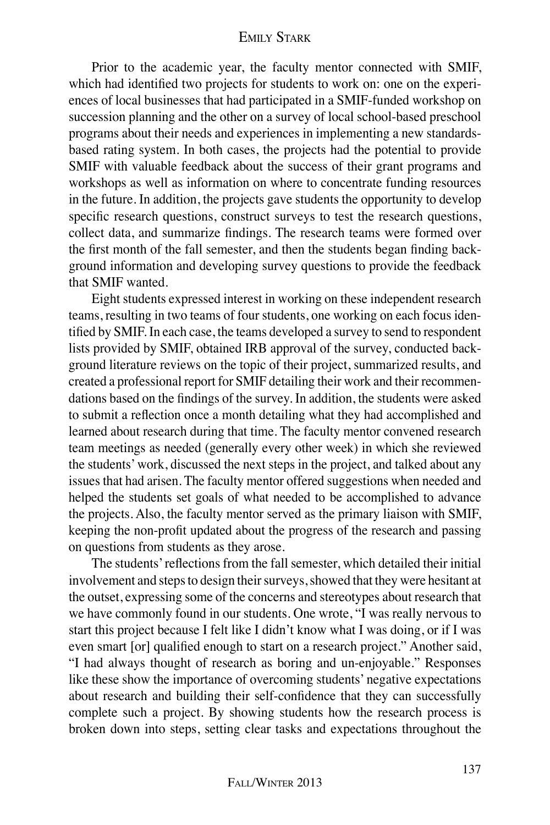Prior to the academic year, the faculty mentor connected with SMIF, which had identified two projects for students to work on: one on the experiences of local businesses that had participated in a SMIF-funded workshop on succession planning and the other on a survey of local school-based preschool programs about their needs and experiences in implementing a new standardsbased rating system. In both cases, the projects had the potential to provide SMIF with valuable feedback about the success of their grant programs and workshops as well as information on where to concentrate funding resources in the future. In addition, the projects gave students the opportunity to develop specific research questions, construct surveys to test the research questions, collect data, and summarize findings. The research teams were formed over the first month of the fall semester, and then the students began finding background information and developing survey questions to provide the feedback that SMIF wanted.

Eight students expressed interest in working on these independent research teams, resulting in two teams of four students, one working on each focus identified by SMIF. In each case, the teams developed a survey to send to respondent lists provided by SMIF, obtained IRB approval of the survey, conducted background literature reviews on the topic of their project, summarized results, and created a professional report for SMIF detailing their work and their recommendations based on the findings of the survey. In addition, the students were asked to submit a reflection once a month detailing what they had accomplished and learned about research during that time. The faculty mentor convened research team meetings as needed (generally every other week) in which she reviewed the students' work, discussed the next steps in the project, and talked about any issues that had arisen. The faculty mentor offered suggestions when needed and helped the students set goals of what needed to be accomplished to advance the projects. Also, the faculty mentor served as the primary liaison with SMIF, keeping the non-profit updated about the progress of the research and passing on questions from students as they arose.

The students' reflections from the fall semester, which detailed their initial involvement and steps to design their surveys, showed that they were hesitant at the outset, expressing some of the concerns and stereotypes about research that we have commonly found in our students. One wrote, "I was really nervous to start this project because I felt like I didn't know what I was doing, or if I was even smart [or] qualified enough to start on a research project." Another said, "I had always thought of research as boring and un-enjoyable." Responses like these show the importance of overcoming students' negative expectations about research and building their self-confidence that they can successfully complete such a project. By showing students how the research process is broken down into steps, setting clear tasks and expectations throughout the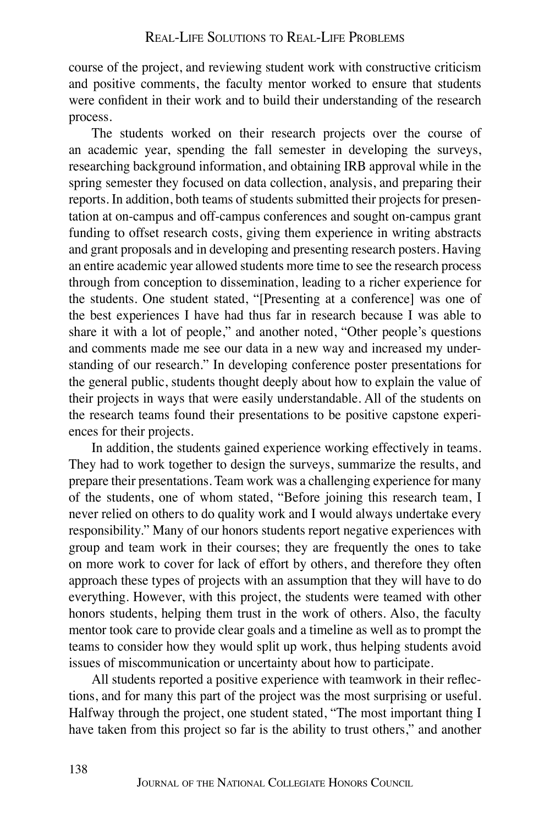course of the project, and reviewing student work with constructive criticism and positive comments, the faculty mentor worked to ensure that students were confident in their work and to build their understanding of the research process.

The students worked on their research projects over the course of an academic year, spending the fall semester in developing the surveys, researching background information, and obtaining IRB approval while in the spring semester they focused on data collection, analysis, and preparing their reports. In addition, both teams of students submitted their projects for presentation at on-campus and off-campus conferences and sought on-campus grant funding to offset research costs, giving them experience in writing abstracts and grant proposals and in developing and presenting research posters. Having an entire academic year allowed students more time to see the research process through from conception to dissemination, leading to a richer experience for the students. One student stated, "[Presenting at a conference] was one of the best experiences I have had thus far in research because I was able to share it with a lot of people," and another noted, "Other people's questions and comments made me see our data in a new way and increased my understanding of our research." In developing conference poster presentations for the general public, students thought deeply about how to explain the value of their projects in ways that were easily understandable. All of the students on the research teams found their presentations to be positive capstone experiences for their projects.

In addition, the students gained experience working effectively in teams. They had to work together to design the surveys, summarize the results, and prepare their presentations. Team work was a challenging experience for many of the students, one of whom stated, "Before joining this research team, I never relied on others to do quality work and I would always undertake every responsibility." Many of our honors students report negative experiences with group and team work in their courses; they are frequently the ones to take on more work to cover for lack of effort by others, and therefore they often approach these types of projects with an assumption that they will have to do everything. However, with this project, the students were teamed with other honors students, helping them trust in the work of others. Also, the faculty mentor took care to provide clear goals and a timeline as well as to prompt the teams to consider how they would split up work, thus helping students avoid issues of miscommunication or uncertainty about how to participate.

All students reported a positive experience with teamwork in their reflections, and for many this part of the project was the most surprising or useful. Halfway through the project, one student stated, "The most important thing I have taken from this project so far is the ability to trust others," and another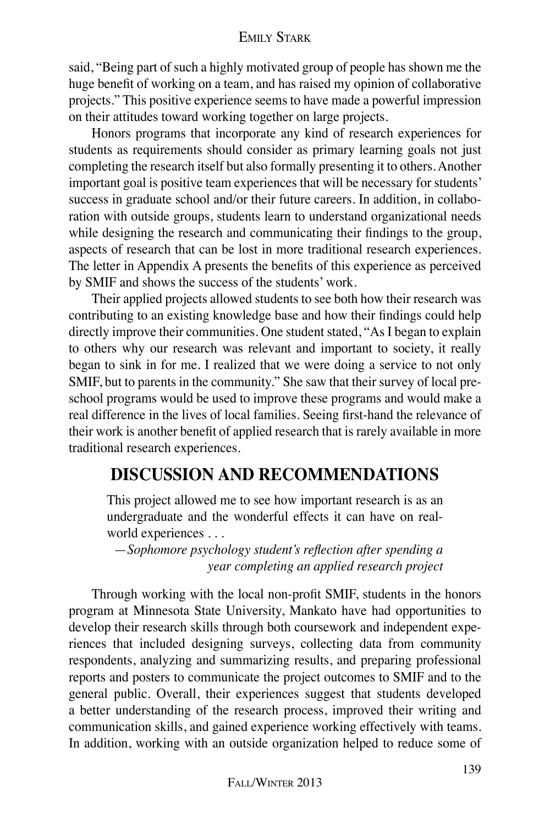said, "Being part of such a highly motivated group of people has shown me the huge benefit of working on a team, and has raised my opinion of collaborative projects." This positive experience seems to have made a powerful impression on their attitudes toward working together on large projects.

Honors programs that incorporate any kind of research experiences for students as requirements should consider as primary learning goals not just completing the research itself but also formally presenting it to others. Another important goal is positive team experiences that will be necessary for students' success in graduate school and/or their future careers. In addition, in collaboration with outside groups, students learn to understand organizational needs while designing the research and communicating their findings to the group, aspects of research that can be lost in more traditional research experiences. The letter in Appendix A presents the benefits of this experience as perceived by SMIF and shows the success of the students' work.

Their applied projects allowed students to see both how their research was contributing to an existing knowledge base and how their findings could help directly improve their communities. One student stated, "As I began to explain to others why our research was relevant and important to society, it really began to sink in for me. I realized that we were doing a service to not only SMIF, but to parents in the community." She saw that their survey of local preschool programs would be used to improve these programs and would make a real difference in the lives of local families. Seeing first-hand the relevance of their work is another benefit of applied research that is rarely available in more traditional research experiences.

## **Discussion and Recommendations**

This project allowed me to see how important research is as an undergraduate and the wonderful effects it can have on realworld experiences . . .

—*Sophomore psychology student's reflection after spending a year completing an applied research project*

Through working with the local non-profit SMIF, students in the honors program at Minnesota State University, Mankato have had opportunities to develop their research skills through both coursework and independent experiences that included designing surveys, collecting data from community respondents, analyzing and summarizing results, and preparing professional reports and posters to communicate the project outcomes to SMIF and to the general public. Overall, their experiences suggest that students developed a better understanding of the research process, improved their writing and communication skills, and gained experience working effectively with teams. In addition, working with an outside organization helped to reduce some of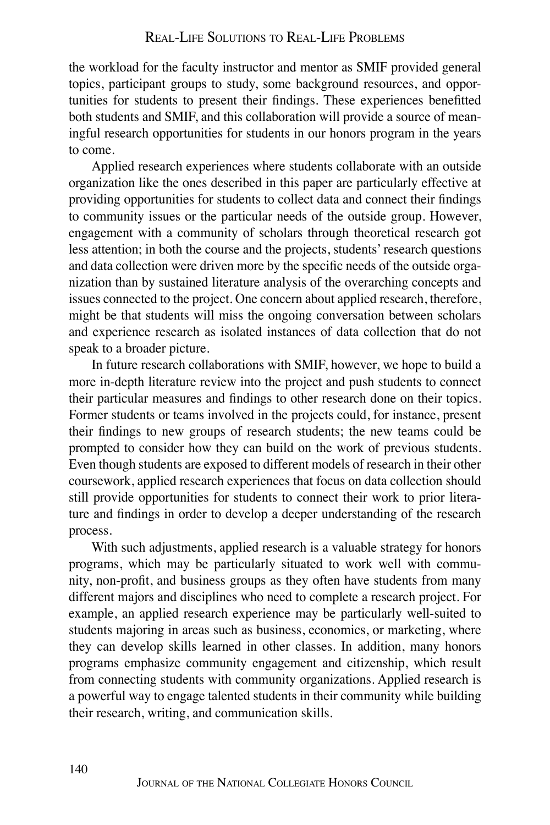the workload for the faculty instructor and mentor as SMIF provided general topics, participant groups to study, some background resources, and opportunities for students to present their findings. These experiences benefitted both students and SMIF, and this collaboration will provide a source of meaningful research opportunities for students in our honors program in the years to come.

Applied research experiences where students collaborate with an outside organization like the ones described in this paper are particularly effective at providing opportunities for students to collect data and connect their findings to community issues or the particular needs of the outside group. However, engagement with a community of scholars through theoretical research got less attention; in both the course and the projects, students' research questions and data collection were driven more by the specific needs of the outside organization than by sustained literature analysis of the overarching concepts and issues connected to the project. One concern about applied research, therefore, might be that students will miss the ongoing conversation between scholars and experience research as isolated instances of data collection that do not speak to a broader picture.

In future research collaborations with SMIF, however, we hope to build a more in-depth literature review into the project and push students to connect their particular measures and findings to other research done on their topics. Former students or teams involved in the projects could, for instance, present their findings to new groups of research students; the new teams could be prompted to consider how they can build on the work of previous students. Even though students are exposed to different models of research in their other coursework, applied research experiences that focus on data collection should still provide opportunities for students to connect their work to prior literature and findings in order to develop a deeper understanding of the research process.

With such adjustments, applied research is a valuable strategy for honors programs, which may be particularly situated to work well with community, non-profit, and business groups as they often have students from many different majors and disciplines who need to complete a research project. For example, an applied research experience may be particularly well-suited to students majoring in areas such as business, economics, or marketing, where they can develop skills learned in other classes. In addition, many honors programs emphasize community engagement and citizenship, which result from connecting students with community organizations. Applied research is a powerful way to engage talented students in their community while building their research, writing, and communication skills.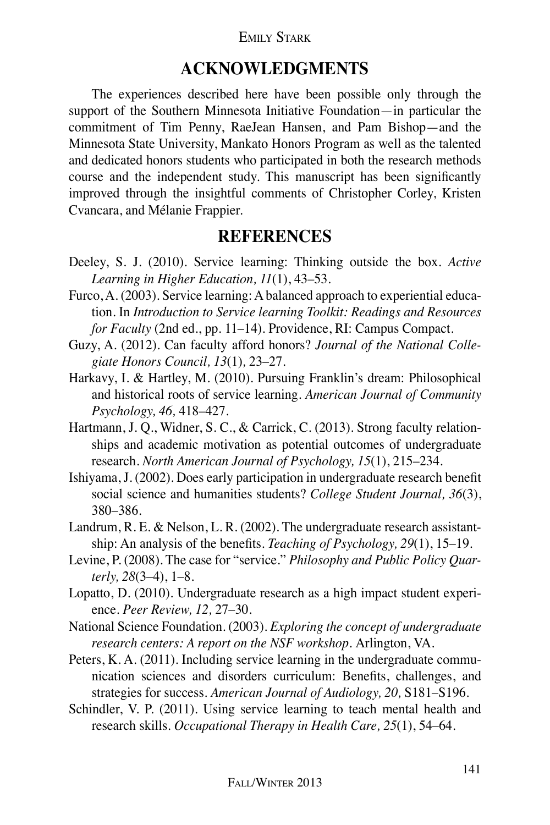#### Emily Stark

## **Acknowledgments**

The experiences described here have been possible only through the support of the Southern Minnesota Initiative Foundation—in particular the commitment of Tim Penny, RaeJean Hansen, and Pam Bishop—and the Minnesota State University, Mankato Honors Program as well as the talented and dedicated honors students who participated in both the research methods course and the independent study. This manuscript has been significantly improved through the insightful comments of Christopher Corley, Kristen Cvancara, and Mélanie Frappier.

### **References**

- Deeley, S. J. (2010). Service learning: Thinking outside the box. *Active Learning in Higher Education, 11*(1), 43–53.
- Furco, A. (2003). Service learning: A balanced approach to experiential education. In *Introduction to Service learning Toolkit: Readings and Resources for Faculty* (2nd ed., pp. 11–14). Providence, RI: Campus Compact.
- Guzy, A. (2012). Can faculty afford honors? *Journal of the National Collegiate Honors Council, 13*(1)*,* 23–27.
- Harkavy, I. & Hartley, M. (2010). Pursuing Franklin's dream: Philosophical and historical roots of service learning. *American Journal of Community Psychology, 46,* 418–427.
- Hartmann, J. Q., Widner, S. C., & Carrick, C. (2013). Strong faculty relationships and academic motivation as potential outcomes of undergraduate research. *North American Journal of Psychology, 15*(1), 215–234.
- Ishiyama, J. (2002). Does early participation in undergraduate research benefit social science and humanities students? *College Student Journal, 36*(3), 380–386.
- Landrum, R. E. & Nelson, L. R. (2002). The undergraduate research assistantship: An analysis of the benefits. *Teaching of Psychology, 29*(1), 15–19.
- Levine, P. (2008). The case for "service." *Philosophy and Public Policy Quarterly, 28*(3–4), 1–8.
- Lopatto, D. (2010). Undergraduate research as a high impact student experience. *Peer Review, 12,* 27–30.
- National Science Foundation. (2003). *Exploring the concept of undergraduate research centers: A report on the NSF workshop.* Arlington, VA.
- Peters, K. A. (2011). Including service learning in the undergraduate communication sciences and disorders curriculum: Benefits, challenges, and strategies for success. *American Journal of Audiology, 20,* S181–S196.
- Schindler, V. P. (2011). Using service learning to teach mental health and research skills. *Occupational Therapy in Health Care, 25*(1), 54–64.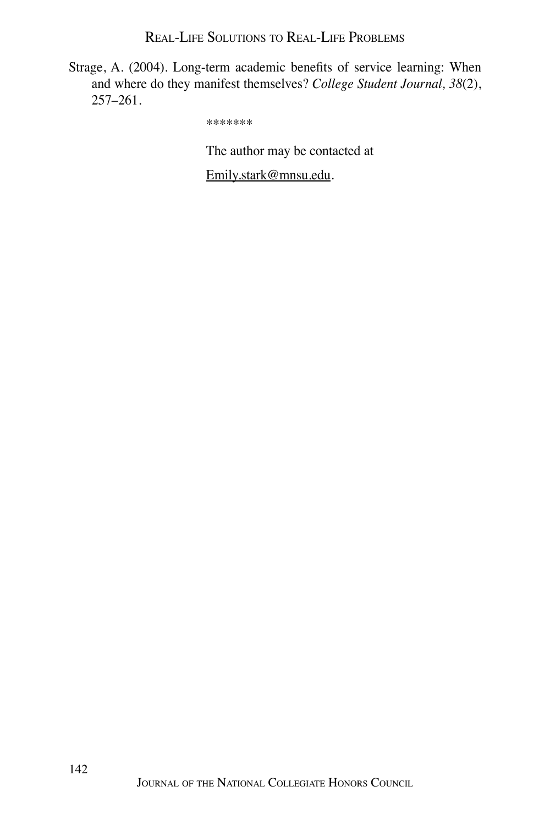Real-Life Solutions to Real-Life Problems

Strage, A. (2004). Long-term academic benefits of service learning: When and where do they manifest themselves? *College Student Journal, 38*(2), 257–261.

\*\*\*\*\*\*\*

The author may be contacted at

Emily.stark@mnsu.edu.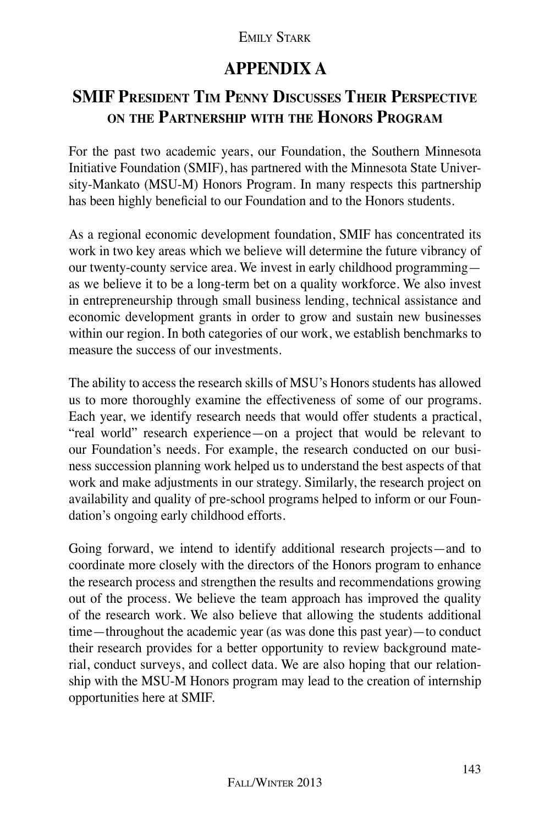# **Appendix A**

# **SMIF President Tim Penny Discusses Their Perspective on the Partnership with the Honors Program**

For the past two academic years, our Foundation, the Southern Minnesota Initiative Foundation (SMIF), has partnered with the Minnesota State University-Mankato (MSU-M) Honors Program. In many respects this partnership has been highly beneficial to our Foundation and to the Honors students.

As a regional economic development foundation, SMIF has concentrated its work in two key areas which we believe will determine the future vibrancy of our twenty-county service area. We invest in early childhood programming as we believe it to be a long-term bet on a quality workforce. We also invest in entrepreneurship through small business lending, technical assistance and economic development grants in order to grow and sustain new businesses within our region. In both categories of our work, we establish benchmarks to measure the success of our investments.

The ability to access the research skills of MSU's Honors students has allowed us to more thoroughly examine the effectiveness of some of our programs. Each year, we identify research needs that would offer students a practical, "real world" research experience—on a project that would be relevant to our Foundation's needs. For example, the research conducted on our business succession planning work helped us to understand the best aspects of that work and make adjustments in our strategy. Similarly, the research project on availability and quality of pre-school programs helped to inform or our Foundation's ongoing early childhood efforts.

Going forward, we intend to identify additional research projects—and to coordinate more closely with the directors of the Honors program to enhance the research process and strengthen the results and recommendations growing out of the process. We believe the team approach has improved the quality of the research work. We also believe that allowing the students additional time—throughout the academic year (as was done this past year)—to conduct their research provides for a better opportunity to review background material, conduct surveys, and collect data. We are also hoping that our relationship with the MSU-M Honors program may lead to the creation of internship opportunities here at SMIF.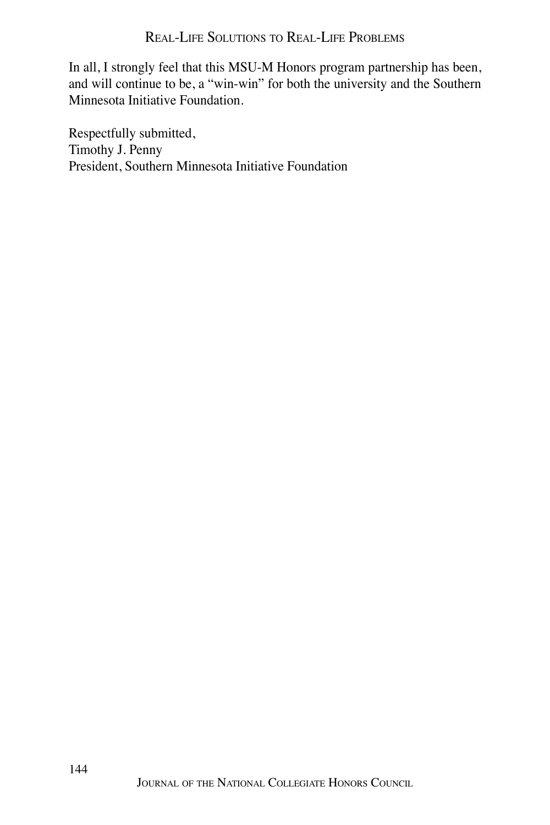#### Real-Life Solutions to Real-Life Problems

In all, I strongly feel that this MSU-M Honors program partnership has been, and will continue to be, a "win-win" for both the university and the Southern Minnesota Initiative Foundation.

Respectfully submitted, Timothy J. Penny President, Southern Minnesota Initiative Foundation